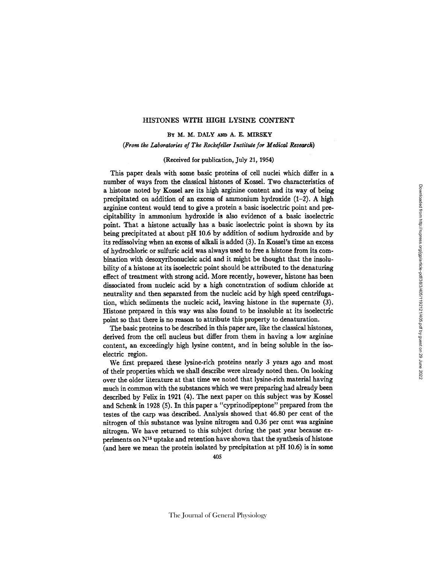### HISTONES WITH HIGH L¥SINE CONTENT

# BY M. M. DALY AND A. E. MIRSKY

*(From the Laboratories of The Rockefeller Institute for Medical Research)* 

#### (Received for publication, July 21, 1954)

This paper deals with some basic proteins of cell nuclei which differ in a number of ways from the classical histones of Kossel. Two characteristics of a histone noted by Kossel are its high arginine content and its way of being precipitated on addition of an excess of ammonium hydroxide (1-2). A high arginine content would tend to give a protein a basic isoelectric point and precipitability in ammonium hydroxide is also evidence of a basic isoelectric point. That a histone actually has a basic isoelectric point is shown by its being precipitated at about pH 10.6 by addition of sodium hydroxide and by its redissolving when an excess of alkali is added (3). In Kossel's time an excess of hydrochloric or sulfuric acid was always used to free a histone from its combination with desoxyribonucleic acid and it might be thought that the insolubility of a histone at its isoelectric point should be attributed to the denaturing effect of treatment with strong acid. More recently, however, histone has been dissociated from nucleic acid by a high concentration of sodium chloride at neutrality and then separated from the nucleic acid by high speed centrifugation, which sediments the nucleic acid, leaving histone in the supernate (3). Histone prepared in this way was also found to be insoluble at its isoelectric point so that there is no reason to attribute this property to denaturation.

The basic proteins to be described in this paper are, like the classical histones, derived from the cell nucleus but differ from them in having a low arginine content, an exceedingly high lysine content, and in being soluble in the isoelectric region.

We first prepared these lysine-rich proteins nearly 3 years ago and most of their properties which we shall describe were already noted then. On looking over the older literature at that time we noted that lysine-rich material having much in common with the substances which we were preparing had already been described by Felix in 1921 (4). The next paper on this subject was by Kossel and Schenk in 1928 (5). In this paper a "cyprinodipeptone" prepared from the testes of the carp was described. Analysis showed that 46.80 per cent of the nitrogen of this substance was lysine nitrogen and 0.36 per cent was arginine nitrogen. We have returned to this subject during the past year because experiments on  $N^{15}$  uptake and retention have shown that the synthesis of histone (and here we mean the protein isolated by precipitation at pH 10.6) is in some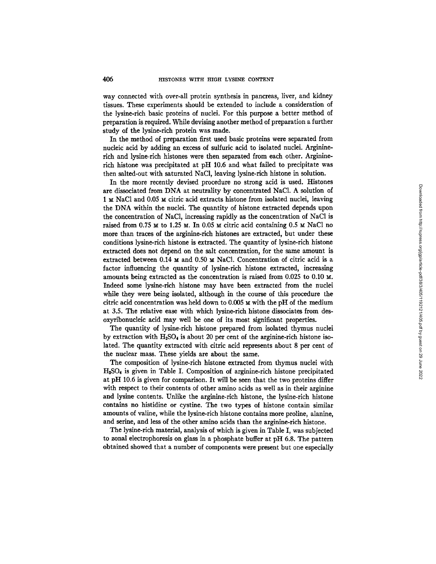way connected with over-all protein synthesis in pancreas, liver, and kidney tissues. These experiments should be extended to include a consideration of the lysine-rich basic proteins of nuclei. For this purpose a better method of preparation is required. While devising another method of preparation a further study of the lysine-rich protein was made.

In the method of preparation first used basic proteins were separated from nucleic acid by adding an excess of sulfuric acid to isolated nuclei. Argininerich and lysine-rich histones were then separated from each other. Argininerich histone was precipitated at pH 10.6 and what failed to precipitate was then salted-out with saturated NaCI, leaving lysine-rich histone in solution.

In the more recently devised procedure no strong acid is used. Histones are dissociated from DNA at neutrality by concentrated NaC1. A solution of 1 M NaCl and 0.05 M citric acid extracts histone from isolated nuclei, leaving the DNA within the nuclei. The quantity of histone extracted depends upon the concentration of NaCI, increasing rapidly as the concentration of NaC1 is raised from 0.75  $\times$  to 1.25  $\times$ . In 0.05  $\times$  citric acid containing 0.5  $\times$  NaCl no more than traces of the arginine-rich histones are extracted, but under these conditions lysine-rich histone is extracted. The quantity of lysine-rich histone extracted does not depend on the salt concentration, for the same amount is extracted between  $0.14 \text{ m}$  and  $0.50 \text{ m}$  NaCl. Concentration of citric acid is a factor influencing the quantity of lysine-rich histone extracted, increasing amounts being extracted as the concentration is raised from  $0.025$  to  $0.10$  M. Indeed some lysine-rich histone may have been extracted from the nuclei while they were being isolated, although in the course of this procedure the citric acid concentration was held down to  $0.005$   $\text{M}$  with the pH of the medium at 3.5. The relative ease with which lysine-rich histone dissociates from desoxyribonucleic acid may well be one of its most significant properties.

The quantity of lysine-rich histone prepared from isolated thymus nuclei by extraction with  $H_2SO_4$  is about 20 per cent of the arginine-rich histone isolated. The quantity extracted with citric acid represents about 8 per cent of the nuclear mass. These yields are about the same.

The composition of lysine-rich histone extracted from thymus nuclei with H2SO, is given in Table I. Composition of arginine-rich histone precipitated at pH 10.6 is given for comparison. It will be seen that the two proteins differ with respect to their contents of other amino acids as well as in their arginine and lysine contents. Unlike the arginine-rich histone, the lysine-rich histone contains no histidine or cystine. The two types of histone contain similar amounts of valine, while the lysine-rich histone contains more proline, alanine, and serine, and less of the other amino acids than the arginine-rich histone.

The lysine-rich material, analysis of which is given in Table I, was subjected to zonal electrophoresis on glass in a phosphate buffer at pH 6.8. The pattern obtained showed that a number of components were present but one especially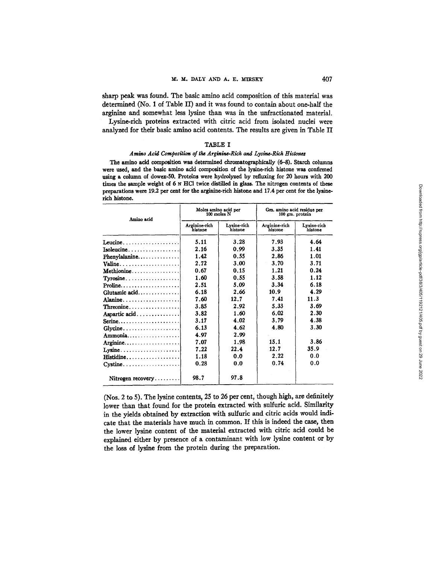sharp peak was found. The basic amino acid composition of this material was determined (No. 1 of Table II) and it was found to contain about one-half the arginine and somewhat less lysine than was in the unfracfionated material.

Lysine-rich proteins extracted with citric acid from isolated nuclei were analyzed for their basic amino acid contents. The results are given in Table II

# TABLE I

### Amino Acid Composition of the Arginine-Rich and Lysine-Rich Histones

The amino acid composition was determined chromatographically (6-8). Starch columns were used, and the basic amino acid composition of the lysine-rich histone was confirmed using a column of dowex-50. Proteins were hydrolyzed by refluxing for 20 hours with 200 times the sample weight of 6  $\times$  HCl twice distilled in glass. The nitrogen contents of these preparations were 19.2 per cent for the arginine-rich histone and 17.4 per cent for the lysinerich histone.

| Amino acid                                                   | Moles amino acid per<br>100 moles N |                        | Gm. amino acid residue per<br>100 gm. protein |                        |  |
|--------------------------------------------------------------|-------------------------------------|------------------------|-----------------------------------------------|------------------------|--|
|                                                              | Arginine-rich<br>histone            | Lysine-rich<br>histone | Arginine-rich<br>histone                      | Lysine-rich<br>histone |  |
| Leucine                                                      | 5.11                                | 3.28                   | 7.93                                          | 4.64                   |  |
| Isoleucine 1                                                 | 2.16                                | 0.99                   | 3.35                                          | 1.41                   |  |
| $Phenvlalanine$                                              | 1.42                                | 0.55                   | 2.86                                          | 1.01                   |  |
| Valine                                                       | 2.72                                | 3.00                   | 3.70                                          | 3.71                   |  |
| $\mathbf{Methodine} \dots \dots \dots \dots \dots$           | 0.67                                | 0.15                   | 1.21                                          | 0.24                   |  |
| $Tyrosine \ldots \ldots \ldots \ldots$                       | 1.60                                | 0.55                   | 3.58                                          | 1.12                   |  |
| $\textbf{Proline} \dots \dots \dots \dots \dots \dots \dots$ | 2.51                                | 5.09                   | 3.34                                          | 6.18                   |  |
| Glutamic acid                                                | 6.18                                | 2.66                   | 10.9                                          | 4.29                   |  |
| Alanine                                                      | 7.60                                | 12.7                   | 7.41                                          | 11.3                   |  |
| Threonine                                                    | 3.85                                | 2.92                   | 5.33                                          | 3.69                   |  |
| Aspartic acid                                                | 3.82                                | 1.60                   | 6.02                                          | 2.30                   |  |
|                                                              | 3.17                                | 4.02                   | 3.79                                          | 4.38                   |  |
| $Glycine \ldots \ldots \ldots \ldots$                        | 6.13                                | 4.62                   | 4.80                                          | 3.30                   |  |
| Ammonia                                                      | 4.97                                | 2.99                   |                                               |                        |  |
| Arginine                                                     | 7.07                                | 1.98                   | 15.1                                          | 3.86                   |  |
| Lysine                                                       | 7.22                                | 22.4                   | 12.7                                          | 35.9                   |  |
| $\textbf{Histidine}\dots\dots\dots\dots\dots\dots]$          | 1.18                                | 0.0                    | 2.22                                          | 0.0                    |  |
| $Cystine \ldots \ldots \ldots$                               | 0.28                                | 0.0                    | 0.74                                          | 0.0                    |  |
| $Nitrogen recovery$                                          | 98.7                                | 97.8                   |                                               |                        |  |

(Nos. 2 to 5). The lysine contents, 25 to 26 per cent, though high, are definitely lower than that found for the protein extracted with sulfuric acid. Similarity in the yields obtained by extraction with sulfuric and citric acids would indicate that the materials have much in common. If this is indeed the case, then the lower lysine content of the material extracted with citric acid could be explained either by presence of a contaminant with low lysine content or by the loss of lysine from the protein during the preparation.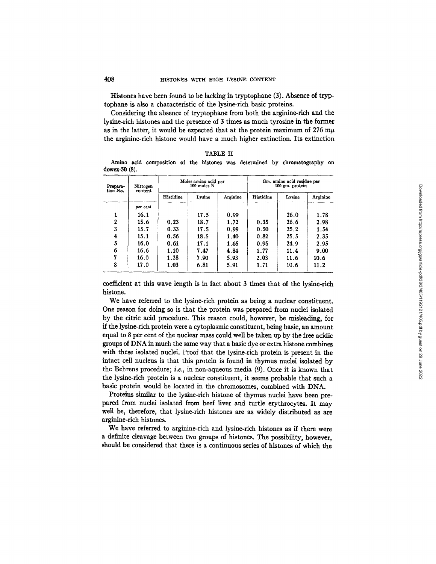Histones have been found to be lacking in tryptophane (3). Absence of tryptophane is also a characteristic of the lysine-rich basic proteins.

Considering the absence of tryptophane from both the arginine-rich and the lysine-rich histones and the presence of 3 times as much tyrosine in the former as in the latter, it would be expected that at the protein maximum of 276 m $\mu$ the arginine-rich histone would have a much higher extinction. Its extinction

| l<br>٠ |  |
|--------|--|
|--------|--|

Amino acid composition of the histones was determined by chromatography on dowex-50 (8).

| Prepara-<br>tion No. | Nitrogen<br>content | Moles amino acid per<br>100 moles N |        |          | Gm. amino acid residue per<br>100 gm. protein |        |          |
|----------------------|---------------------|-------------------------------------|--------|----------|-----------------------------------------------|--------|----------|
|                      |                     | Histidine                           | Lysine | Arginine | Histidine                                     | Lysine | Arginine |
|                      | per cent            |                                     |        |          |                                               |        |          |
|                      | 16.1                |                                     | 17.5   | 0.99     |                                               | 26.0   | 1.78     |
| $\mathbf{2}$         | 15.6                | 0.23                                | 18.7   | 1.72     | 0.35                                          | 26.6   | 2.98     |
| 3                    | 15.7                | 0.33                                | 17.5   | 0.99     | 0.50                                          | 25.2   | 1.54     |
| 4                    | 15.1                | 0.56                                | 18.5   | 1.40     | 0.82                                          | 25.5   | 2.35     |
| 5                    | 16.0                | 0.61                                | 17.1   | 1.65     | 0.95                                          | 24.9   | 2.95     |
| 6                    | 16.6                | 1.10                                | 7.47   | 4.84     | 1.77                                          | 11.4   | 9.00     |
| 17                   | 16.0                | 1.28                                | 7.90   | 5.93     | 2.03                                          | 11.6   | 10.6     |
| 8                    | 17.0                | 1.03                                | 6.81   | 5.91     | 1.71                                          | 10.6   | 11.2     |

coefficient at this wave length is in fact about 3 times that of the lysine-rich histone.

We have referred to the lysine-rich protein as being a nuclear constituent. One reason for doing so is that the protein was prepared from nuclei isolated by the citric acid procedure. This reason could, however, be misleading, for if the lysine-rich protein were a cytoplasmic constituent, being basic, an amount equal to 8 per cent of the nuclear mass could well be taken up by the free acidic groups of DNA in much the same way that a basic dye or extra histone combines with these isolated nuclei. Proof that the lysine-rich protein is present in the intact cell nucleus is that this protein is found in thymus nuclei isolated by the Behrens procedure; *i.e.,* in non-aqueous media (9). Once it is known that the lysine-rich protein is a nuclear constituent, it seems probable that such a basic protein would be located in the chromosomes, combined with DNA.

Proteins similar to the lysine-rich histone of thymus nuclei have been prepared from nuclei isolated from beef liver and turtle erythrocytes. It may well be, therefore, that lysine-rich histones are as widely distributed as are arginine-rich histones.

We have referred to arginine-rich and lysine-rich histones as if there were a definite cleavage between two groups of histones. The possibility, however, should be considered that there is a continuous series of histones of which the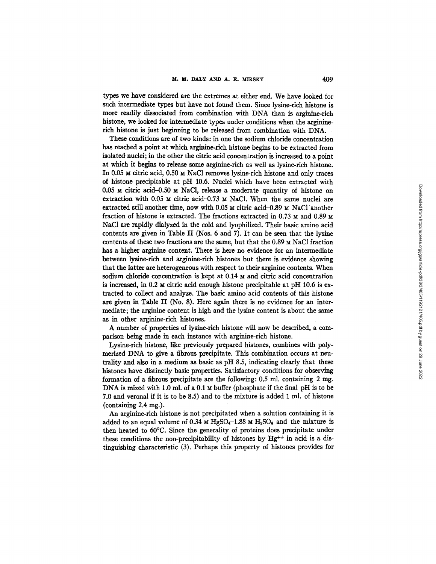types we have considered are the extremes at either end. We have looked for such intermediate types but have not found them. Since lysine-rich histone is more readily dissociated from combination with DNA than is arginine-rich histone, we looked for intermediate types under conditions when the argininerich histone is just beginning to be released from combination with DNA.

These conditions are of two kinds: in one the sodium chloride concentration has reached a point at which arginine-rich histone begins to be extracted from isolated nuclei; in the other the citric acid concentration is increased to a point at which it begins to release some arginine-rich as well as lysine-rich histone. In 0.05  $\mu$  citric acid, 0.50  $\mu$  NaCl removes lysine-rich histone and only traces of histone precipitable at pH 10.6. Nuclei which have been extracted with  $0.05$   $\times$  citric acid-0.50  $\times$  NaCl, release a moderate quantity of histone on extraction with  $0.05$   $\times$  citric acid-0.73  $\times$  NaCl. When the same nuclei are extracted still another time, now with  $0.05 ~\text{m}$  citric acid-0.89  $\textrm{m}$  NaCl 'another fraction of histone is extracted. The fractions extracted in 0.73  $\times$  and 0.89  $\times$ NaCI are rapidly dialyzed in the cold and lyophilized. Their basic amino acid contents are given in Table II (Nos. 6 and 7). It can be seen that the lysine contents of these two fractions are the same, but that the  $0.89 ~ \text{M}$  NaCl fraction has a higher arginine content. There is here no evidence for an intermediate between lysine-rich and arginine-rich histones but there is evidence showing that the latter are heterogeneous with respect to their arginine contents. When sodium chloride concentration is kept at 0.14 M and citric acid concentration is increased, in  $0.2 ~\text{m}$  citric acid enough histone precipitable at pH 10.6 is extracted to collect and analyze. The basic amino acid contents of this histone are given in Table II (No. 8). Here again there is no evidence for an intermediate; the arginine content is high and the lysine content is about the same as in other arginine-rich histones.

A number of properties of lysine-rich histone will now be described, a comparison being made in each instance with arginine-rich histone.

Lysine-rich histone, like previously prepared histones, combines with polymerized DNA to give a fibrous precipitate. This combination occurs at neutrality and also in a medium as basic as pH 8.5, indicating dearly that these histones have distinctly basic properties. Satisfactory conditions for observing formation of a fibrous precipitate are the following:  $0.5$  ml. containing 2 mg. DNA is mixed with 1.0 ml. of a 0.1  $\times$  buffer (phosphate if the final pH is to be 7.0 and veronal if it is to be 8.5) and to the mixture is added 1 ml. of histone (containing  $2.4 \text{ mg}$ .).

An arginine-rich histone is not precipitated when a solution containing it is added to an equal volume of 0.34  $\times$  HgSO<sub>4</sub>-1.88  $\times$  H<sub>2</sub>SO<sub>4</sub> and the mixture is then heated to 60°C. Since the generality of proteins does precipitate under these conditions the non-precipitability of histones by  $Hg^{++}$  in acid is a distingnishing characteristic (3). Perhaps this property of histones provides for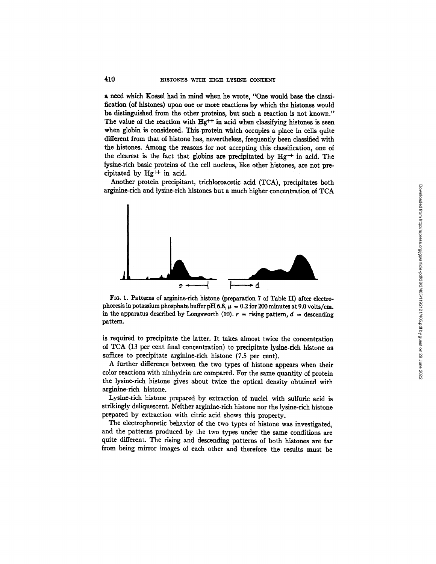a need which Kossel had in mind when he wrote, "One would base the classification (of histones) upon one or more reactions by which the histones would be distinguished from the other proteins, but such a reaction is not known." The value of the reaction with  $Hg^{++}$  in acid when classifying histones is seen when globin is considered. This protein which occupies a place in ceils quite different from that of histone has, nevertheless, frequently been classified with the histones. Among the reasons for not accepting this classification, one of the clearest is the fact that globins are precipitated by  $Hg^{++}$  in acid. The lysine-rich basic proteins of the cell nucleus, like other histones, are not precipitated by  $Hg^{++}$  in acid.

Another protein precipitant, trichloroacetic acid (TCA), precipitates both arginine-rich and lysine-rich histones but a much higher concentration of TCA



FIo. 1. Patterns of arginine-rich histone (preparation 7 of Table H) after electrophoresis in potassium phosphate buffer pH 6.8,  $\mu = 0.2$  for 200 minutes at 9.0 volts/cm. in the apparatus described by Longsworth (10).  $r =$  rising pattern,  $d =$  descending pattern.

is required to precipitate the latter. It takes almost twice the concentration of TCA (13 per cent final concentration) to precipitate lysine-rich histone as suffices to precipitate arginine-rich histone (7.5 per cent).

A further difference between the two types of histone appears when their color reactions with ninhydrin are compared. For the same quantity of protein the lysine-rich histone gives about twice the optical density obtained with arginine-rich histone.

Lysine-rich histone prepared by extraction of nuclei with sulfuric acid is strikingly deliquescent. Neither arginine-rich histone nor the lysine-rich histone prepared by extraction with citric acid shows this property.

The electrophoretic behavior of the two types of histone was investigated, and the patterns produced by the two types under the same conditions are quite different. The rising and descending patterns of both histones are far from being mirror images of each other and therefore the results must be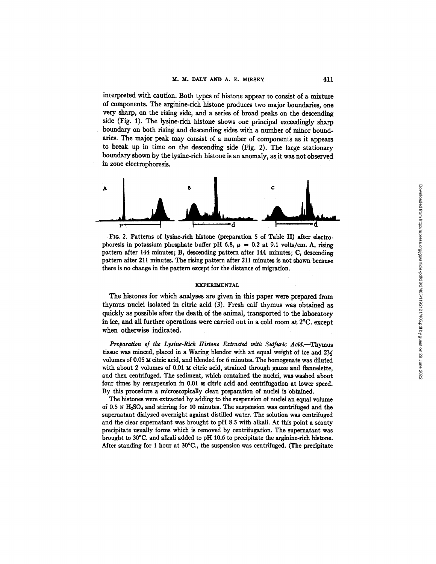interpreted with caution. Both types of histone appear to consist of a mixture of components. The arginine-rich histone produces two major boundaries, one very sharp, on the rising side, and a series of broad peaks on the descending side (Fig. 1). The lysine-rich histone shows one principal exceedingly sharp boundary on both rising and descending sides with a number of minor boundaries. The major peak may consist of a number of components as it appears to break up in time on the descending side (Fig, 2). The large stationary boundary shown by the lysine-rich histone is an anomaly, as it was not observed in zone electrophoresis.



FIG. 2. Patterns of lysine-rich histone (preparation 5 of Table II) after electrophoresis in potassium phosphate buffer pH 6.8,  $\mu = 0.2$  at 9.1 volts/cm. A, rising pattern after 144 minutes; B, descending pattern after 144 minutes; C, descending pattern after 211 minutes. The rising pattern after 211 minutes is not shown because there is no change in the pattern except for the distance of migration.

#### EXPERIMENTAL

The histones for which analyses are given in this paper were prepared from thymus nuclei isolated in citric acid (3). Fresh calf thymus was obtained as quickly as possible after the death of the animal, transported to the laboratory in ice, and all further operations were carried out in a cold room at 2°C. except when otherwise indicated.

Preparation of the Lysine-Rich Histone Extracted with Sulfuric Acid.--Thymus tissue was minced, placed in a Waring blendor with an equal weight of ice and  $2\frac{1}{6}$ volumes of 0.05  $\times$  citric acid, and blended for 6 minutes. The homogenate was diluted with about 2 volumes of  $0.01 ~M$  citric acid, strained through gauze and flannelette, and then centrifuged. The sediment, which contained the nuclei, was washed about four times by resuspension in 0.01 M citric acid and centrifugation at lower speed. By this procedure a microscopically clean preparation of nuclei is obtained.

The histones were extracted by adding to the suspension of nuclei an equal volume of 0.5 N H~SO4 and stirring for 10 minutes. The suspension was centrifuged and the supernatant dialyzed overnight against distilled water. The solution was centrifuged and the clear supernatant was brought to pH 8.5 with alkali. At this point a scanty precipitate usually forms which is removed by centrifugation. The supernatant was brought to 30°C. and alkali added to pH 10.6 to precipitate the arginine-rich histone. After standing for 1 hour at 30°C., the suspension was centrifuged. (The precipitate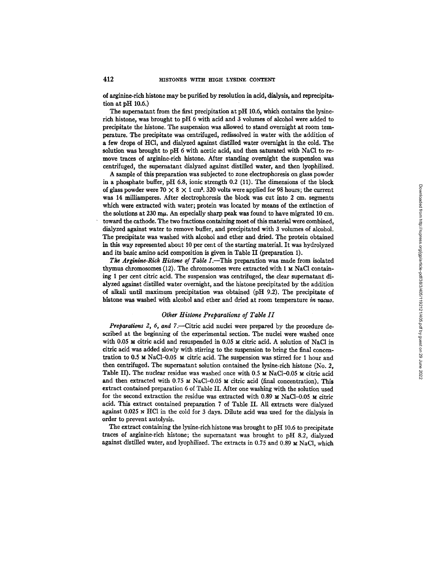of arginine-rich histone may be purified by resolution in acid, dialysis, and reprecipitation at pH 10.6.)

The supernatant from the first precipitation at pH 10.6, which contains the lysinerich histone, was brought to pH 6 with acid and 3 volumes of alcohol were added to precipitate the histone. The suspension was allowed to stand overnight at room temperature. The precipitate was centrifuged, redissolved in water with the addition of a few drops of HC1, and dialyzed against distilled water overnight in the cold. The solution was brought to pH 6 with acetic acid, and then saturated with NaCl to remove traces of arginine-rich histone. After standing overnight the suspension was centrifuged, the supematant dialyzed against distilled water, and then lyophilized.

A sample of this preparation was subjected to zone electrophoresis on glass powder in a phosphate buffer, pH 6.8, ionic strength 0.2 (11). The dimensions of the block of glass powder were  $70 \times 8 \times 1$  cm<sup>3</sup>. 320 volts were applied for 98 hours; the current was 14 milliamperes. After electrophoresis the block was cut into 2 cm. segments which were extracted with water; protein was located by means of the extinction of the solutions at  $230 \text{ m}\mu$ . An especially sharp peak was found to have migrated 10 cm. toward the cathode. The two fractions containing most of this material were combined, dialyzed against water to remove buffer, and precipitated with 3 volumes of alcohol. The precipitate was washed with alcohol and ether and dried. The protein obtained in this way represented about 10 per cent of the starting material. It was hydrolyzed and its basic amino acid composition is given in Table II (preparation 1).

*The Arginine-Rich Histone of Table I.*—This preparation was made from isolated thymus chromosomes (12). The chromosomes were extracted with  $1 \text{ M }$  NaCl containing 1 per cent citric acid. The suspension was centrifuged, the clear supernatant dialyzed against distilled water overnight, and the histone precipitated by the addition of alkali until maximum precipitation was obtained (pH 9.2). The precipitate of histone was washed with alcohol and ether and dried at room temperature in vacuo.

# **Other Histone Preparations of Table II**

*Preparations 2, 6, and 7.*—Citric acid nuclei were prepared by the procedure described at the beginning of the experimental section. The nuclei were washed once with 0.05 M citric acid and resuspended in 0.05 M citric acid. A solution of NaCl in citric acid was added slowly with stirring to the suspension to bring the final concentration to 0.5  $\text{M}$  NaCl-0.05  $\text{M}$  citric acid. The suspension was stirred for 1 hour and then centrifuged. The supematant solution contained the lysine-rich histone (No. 2, Table II). The nuclear residue was washed once with  $0.5 \text{ m NaCl}-0.05 \text{ m}$  citric acid and then extracted with  $0.75 \text{ M}$  NaCl-0.05 M citric acid (final concentration). This extract contained preparation 6 of Table II. After one washing with the solution used for the second extraction the residue was extracted with  $0.89 ~\text{m}$  NaCl-0.05  $\text{m}$  citric acid. This extract contained preparation 7 of Table II. All extracts were dialyzed against 0.025 N HC1 in the cold for 3 days. Dilute acid was used for the dialysis in order to prevent autolysis.

The extract containing the lysine-rich histone was brought to pH 10.6 to precipitate traces of arginine-rich histone; the supematant was brought to pH 8.2, dialyzed against distilled water, and lyophilized. The extracts in 0.75 and 0.89  $\times$  NaCl, which